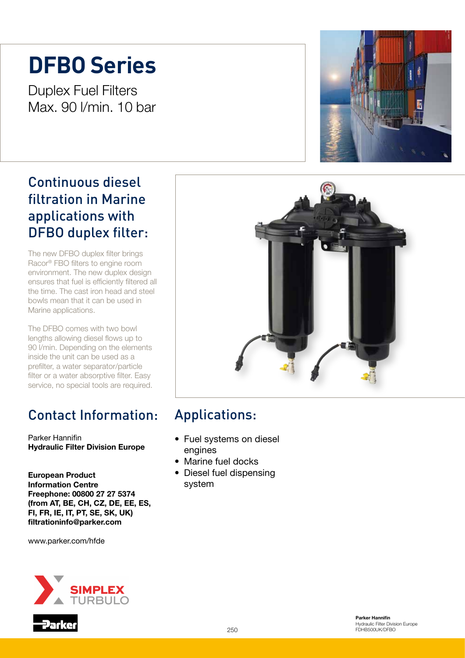# **DFBO Series**

Duplex Fuel Filters Max. 90 l/min. 10 bar

### Continuous diesel filtration in Marine applications with DFBO duplex filter:

The new DFBO duplex filter brings Racor® FBO filters to engine room environment. The new duplex design ensures that fuel is efficiently filtered all the time. The cast iron head and steel bowls mean that it can be used in Marine applications.

The DFBO comes with two bowl lengths allowing diesel flows up to 90 l/min. Depending on the elements inside the unit can be used as a prefilter, a water separator/particle filter or a water absorptive filter. Easy service, no special tools are required.

## Contact Information:

Parker Hannifin Hydraulic Filter Division Europe

European Product Information Centre Freephone: 00800 27 27 5374 (from AT, BE, CH, CZ, DE, EE, ES, FI, FR, IE, IT, PT, SE, SK, UK) filtrationinfo@parker.com

www.parker.com/hfde







### Applications:

- Fuel systems on diesel engines
- Marine fuel docks
- Diesel fuel dispensing system

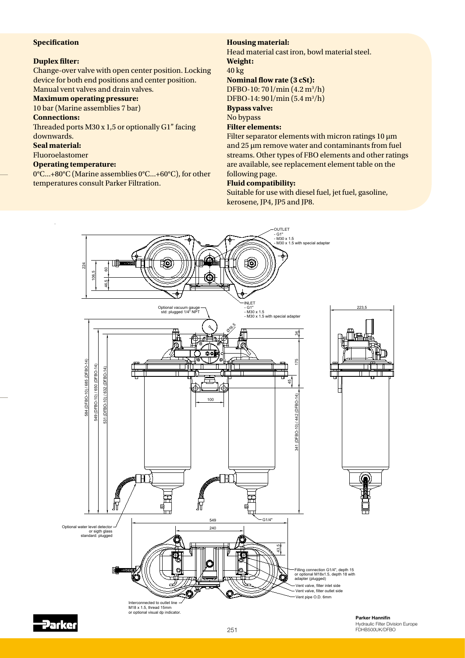#### **Specification**

#### **Duplex filter:**

Change-over valve with open center position. Locking device for both end positions and center position. Manual vent valves and drain valves.

#### **Maximum operating pressure:**

10 bar (Marine assemblies 7 bar)

#### **Connections:**

Threaded ports M30 x 1,5 or optionally G1" facing downwards.

#### **Seal material:**

Fluoroelastomer

#### **Operating temperature:**

0°C...+80°C (Marine assemblies 0°C...+60°C), for other temperatures consult Parker Filtration.

#### **Housing material:**

Head material cast iron, bowl material steel. **Weight:** 40 kg

#### **Nominal flow rate (3 cSt):**

DFBO-10: 70 l/min (4.2 m<sup>3</sup>/h)

DFBO-14: 90 l/min (5.4 m<sup>3</sup>/h) **Bypass valve:**

No bypass

#### **Filter elements:**

Filter separator elements with micron ratings  $10 \mu m$ and 25  $\mu$ m remove water and contaminants from fuel streams. Other types of FBO elements and other ratings are available, see replacement element table on the following page.

#### **Fluid compatibility:**

Suitable for use with diesel fuel, jet fuel, gasoline, kerosene, JP4, JP5 and JP8.



Jarker